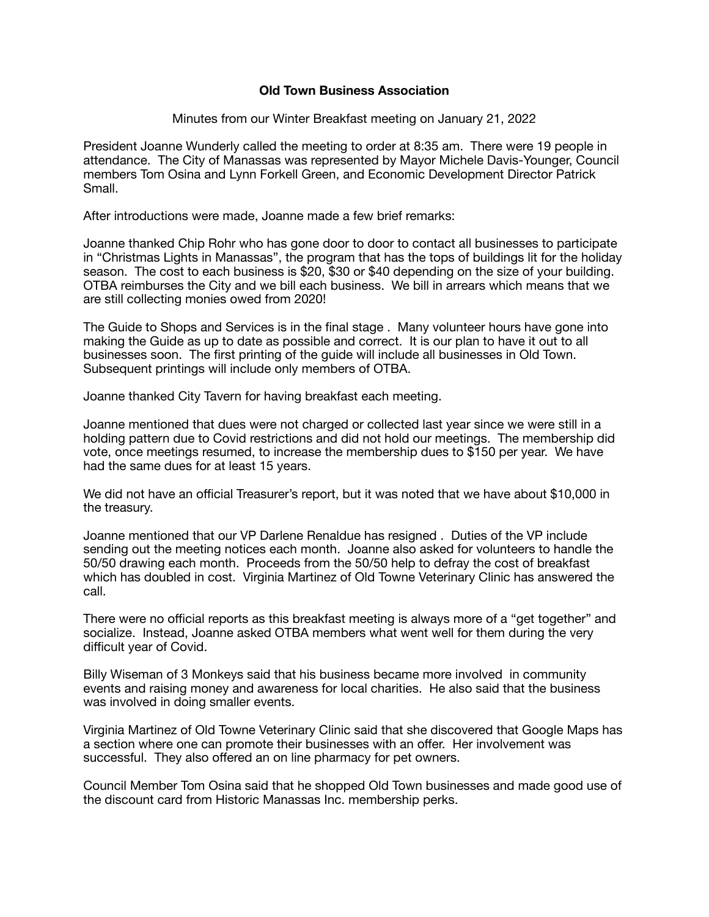## **Old Town Business Association**

Minutes from our Winter Breakfast meeting on January 21, 2022

President Joanne Wunderly called the meeting to order at 8:35 am. There were 19 people in attendance. The City of Manassas was represented by Mayor Michele Davis-Younger, Council members Tom Osina and Lynn Forkell Green, and Economic Development Director Patrick Small.

After introductions were made, Joanne made a few brief remarks:

Joanne thanked Chip Rohr who has gone door to door to contact all businesses to participate in "Christmas Lights in Manassas", the program that has the tops of buildings lit for the holiday season. The cost to each business is \$20, \$30 or \$40 depending on the size of your building. OTBA reimburses the City and we bill each business. We bill in arrears which means that we are still collecting monies owed from 2020!

The Guide to Shops and Services is in the final stage . Many volunteer hours have gone into making the Guide as up to date as possible and correct. It is our plan to have it out to all businesses soon. The first printing of the guide will include all businesses in Old Town. Subsequent printings will include only members of OTBA.

Joanne thanked City Tavern for having breakfast each meeting.

Joanne mentioned that dues were not charged or collected last year since we were still in a holding pattern due to Covid restrictions and did not hold our meetings. The membership did vote, once meetings resumed, to increase the membership dues to \$150 per year. We have had the same dues for at least 15 years.

We did not have an official Treasurer's report, but it was noted that we have about \$10,000 in the treasury.

Joanne mentioned that our VP Darlene Renaldue has resigned . Duties of the VP include sending out the meeting notices each month. Joanne also asked for volunteers to handle the 50/50 drawing each month. Proceeds from the 50/50 help to defray the cost of breakfast which has doubled in cost. Virginia Martinez of Old Towne Veterinary Clinic has answered the call.

There were no official reports as this breakfast meeting is always more of a "get together" and socialize. Instead, Joanne asked OTBA members what went well for them during the very difficult year of Covid.

Billy Wiseman of 3 Monkeys said that his business became more involved in community events and raising money and awareness for local charities. He also said that the business was involved in doing smaller events.

Virginia Martinez of Old Towne Veterinary Clinic said that she discovered that Google Maps has a section where one can promote their businesses with an offer. Her involvement was successful. They also offered an on line pharmacy for pet owners.

Council Member Tom Osina said that he shopped Old Town businesses and made good use of the discount card from Historic Manassas Inc. membership perks.